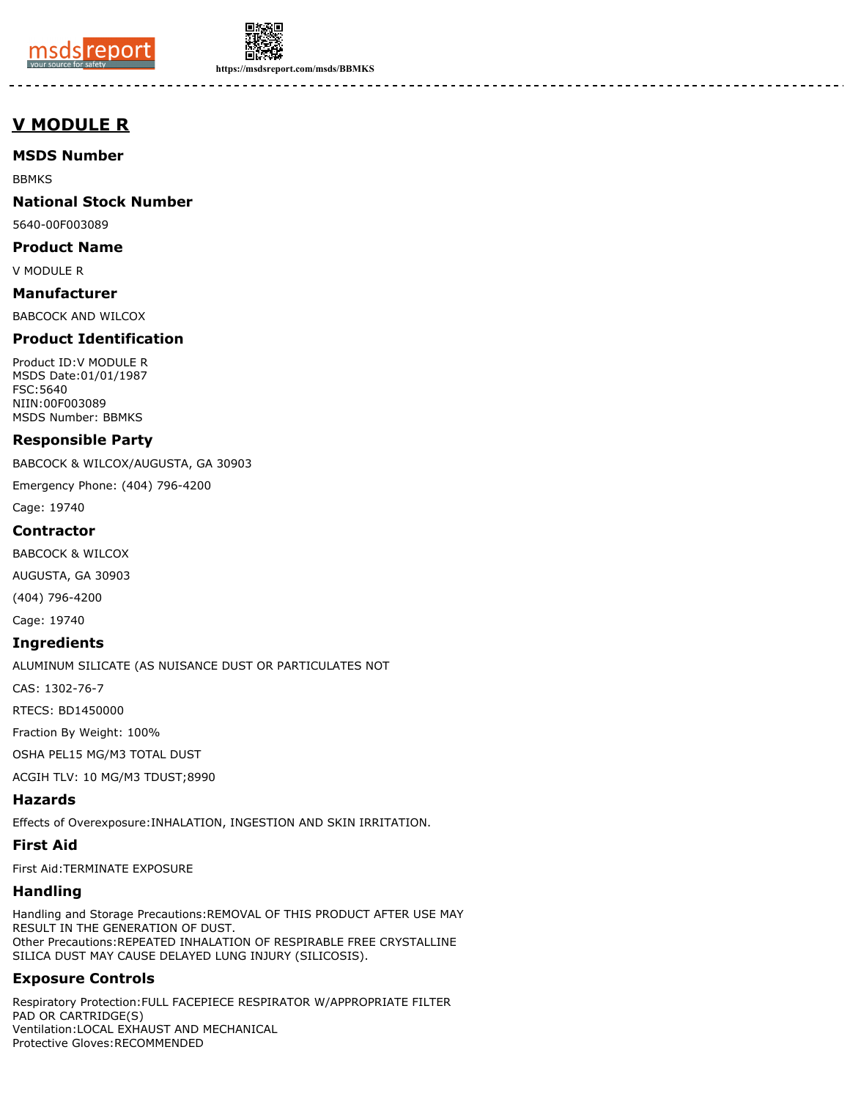



**https://msdsreport.com/msds/BBMKS**

--------

# **V MODULE R**

# **MSDS Number**

BBMKS

## **National Stock Number**

5640-00F003089

#### **Product Name**

V MODULE R

# **Manufacturer**

BABCOCK AND WILCOX

# **Product Identification**

Product ID:V MODULE R MSDS Date:01/01/1987 FSC:5640 NIIN:00F003089 MSDS Number: BBMKS

## **Responsible Party**

BABCOCK & WILCOX/AUGUSTA, GA 30903

Emergency Phone: (404) 796-4200

Cage: 19740

## **Contractor**

BABCOCK & WILCOX

AUGUSTA, GA 30903

(404) 796-4200

Cage: 19740

#### **Ingredients**

ALUMINUM SILICATE (AS NUISANCE DUST OR PARTICULATES NOT

CAS: 1302-76-7

RTECS: BD1450000

Fraction By Weight: 100%

OSHA PEL15 MG/M3 TOTAL DUST

ACGIH TLV: 10 MG/M3 TDUST;8990

## **Hazards**

Effects of Overexposure:INHALATION, INGESTION AND SKIN IRRITATION.

# **First Aid**

First Aid:TERMINATE EXPOSURE

# **Handling**

Handling and Storage Precautions:REMOVAL OF THIS PRODUCT AFTER USE MAY RESULT IN THE GENERATION OF DUST. Other Precautions:REPEATED INHALATION OF RESPIRABLE FREE CRYSTALLINE SILICA DUST MAY CAUSE DELAYED LUNG INJURY (SILICOSIS).

# **Exposure Controls**

Respiratory Protection:FULL FACEPIECE RESPIRATOR W/APPROPRIATE FILTER PAD OR CARTRIDGE(S) Ventilation:LOCAL EXHAUST AND MECHANICAL Protective Gloves:RECOMMENDED